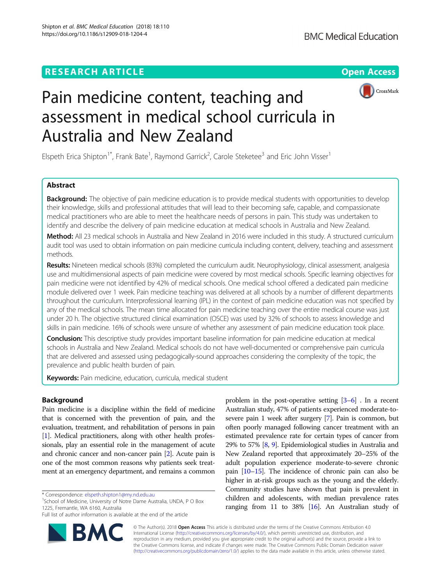## **RESEARCH ARTICLE Example 2018 12:30 THE Open Access**



# Pain medicine content, teaching and assessment in medical school curricula in Australia and New Zealand

Elspeth Erica Shipton<sup>1\*</sup>, Frank Bate<sup>1</sup>, Raymond Garrick<sup>2</sup>, Carole Steketee<sup>3</sup> and Eric John Visser<sup>1</sup>

## Abstract

**Background:** The objective of pain medicine education is to provide medical students with opportunities to develop their knowledge, skills and professional attitudes that will lead to their becoming safe, capable, and compassionate medical practitioners who are able to meet the healthcare needs of persons in pain. This study was undertaken to identify and describe the delivery of pain medicine education at medical schools in Australia and New Zealand.

Method: All 23 medical schools in Australia and New Zealand in 2016 were included in this study. A structured curriculum audit tool was used to obtain information on pain medicine curricula including content, delivery, teaching and assessment methods.

Results: Nineteen medical schools (83%) completed the curriculum audit. Neurophysiology, clinical assessment, analgesia use and multidimensional aspects of pain medicine were covered by most medical schools. Specific learning objectives for pain medicine were not identified by 42% of medical schools. One medical school offered a dedicated pain medicine module delivered over 1 week. Pain medicine teaching was delivered at all schools by a number of different departments throughout the curriculum. Interprofessional learning (IPL) in the context of pain medicine education was not specified by any of the medical schools. The mean time allocated for pain medicine teaching over the entire medical course was just under 20 h. The objective structured clinical examination (OSCE) was used by 32% of schools to assess knowledge and skills in pain medicine. 16% of schools were unsure of whether any assessment of pain medicine education took place.

**Conclusion:** This descriptive study provides important baseline information for pain medicine education at medical schools in Australia and New Zealand. Medical schools do not have well-documented or comprehensive pain curricula that are delivered and assessed using pedagogically-sound approaches considering the complexity of the topic, the prevalence and public health burden of pain.

Keywords: Pain medicine, education, curricula, medical student

## Background

Pain medicine is a discipline within the field of medicine that is concerned with the prevention of pain, and the evaluation, treatment, and rehabilitation of persons in pain [[1](#page-9-0)]. Medical practitioners, along with other health professionals, play an essential role in the management of acute and chronic cancer and non-cancer pain [[2](#page-9-0)]. Acute pain is one of the most common reasons why patients seek treatment at an emergency department, and remains a common

<sup>1</sup>School of Medicine, University of Notre Dame Australia, UNDA, P O Box 1225, Fremantle, WA 6160, Australia

Full list of author information is available at the end of the article



problem in the post-operative setting [[3](#page-9-0)–[6\]](#page-9-0) . In a recent Australian study, 47% of patients experienced moderate-tosevere pain 1 week after surgery [\[7\]](#page-9-0). Pain is common, but often poorly managed following cancer treatment with an estimated prevalence rate for certain types of cancer from 29% to 57% [\[8,](#page-9-0) [9\]](#page-9-0). Epidemiological studies in Australia and New Zealand reported that approximately 20–25% of the adult population experience moderate-to-severe chronic pain [\[10](#page-9-0)–[15\]](#page-9-0). The incidence of chronic pain can also be higher in at-risk groups such as the young and the elderly. Community studies have shown that pain is prevalent in children and adolescents, with median prevalence rates ranging from 11 to 38%  $[16]$ . An Australian study of

© The Author(s). 2018 Open Access This article is distributed under the terms of the Creative Commons Attribution 4.0 International License [\(http://creativecommons.org/licenses/by/4.0/](http://creativecommons.org/licenses/by/4.0/)), which permits unrestricted use, distribution, and reproduction in any medium, provided you give appropriate credit to the original author(s) and the source, provide a link to the Creative Commons license, and indicate if changes were made. The Creative Commons Public Domain Dedication waiver [\(http://creativecommons.org/publicdomain/zero/1.0/](http://creativecommons.org/publicdomain/zero/1.0/)) applies to the data made available in this article, unless otherwise stated.

<sup>\*</sup> Correspondence: [elspeth.shipton1@my.nd.edu.au](mailto:elspeth.shipton1@my.nd.edu.au) <sup>1</sup>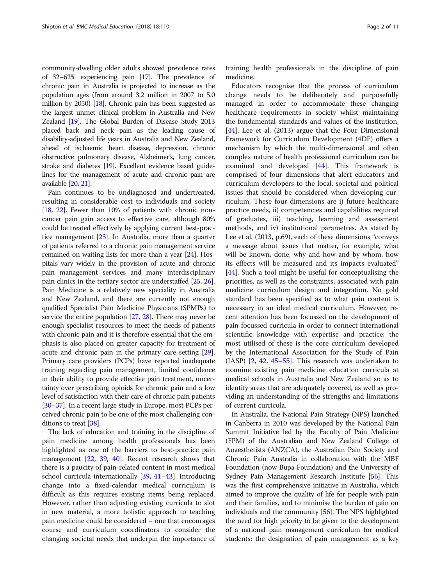community-dwelling older adults showed prevalence rates of 32–62% experiencing pain [\[17\]](#page-9-0). The prevalence of chronic pain in Australia is projected to increase as the population ages (from around 3.2 million in 2007 to 5.0 million by 2050) [\[18](#page-9-0)]. Chronic pain has been suggested as the largest unmet clinical problem in Australia and New Zealand [\[19\]](#page-9-0). The Global Burden of Disease Study 2013 placed back and neck pain as the leading cause of disability-adjusted life years in Australia and New Zealand, ahead of ischaemic heart disease, depression, chronic obstructive pulmonary disease, Alzheimer's, lung cancer, stroke and diabetes [[19](#page-9-0)]. Excellent evidence based guidelines for the management of acute and chronic pain are available [\[20,](#page-9-0) [21\]](#page-9-0).

Pain continues to be undiagnosed and undertreated, resulting in considerable cost to individuals and society [[18](#page-9-0), [22](#page-9-0)]. Fewer than 10% of patients with chronic noncancer pain gain access to effective care, although 80% could be treated effectively by applying current best-practice management [\[23](#page-9-0)]. In Australia, more than a quarter of patients referred to a chronic pain management service remained on waiting lists for more than a year [[24](#page-9-0)]. Hospitals vary widely in the provision of acute and chronic pain management services and many interdisciplinary pain clinics in the tertiary sector are understaffed [\[25,](#page-9-0) [26](#page-9-0)]. Pain Medicine is a relatively new speciality in Australia and New Zealand, and there are currently not enough qualified Specialist Pain Medicine Physicians (SPMPs) to service the entire population [[27](#page-9-0), [28\]](#page-9-0). There may never be enough specialist resources to meet the needs of patients with chronic pain and it is therefore essential that the emphasis is also placed on greater capacity for treatment of acute and chronic pain in the primary care setting [[29](#page-9-0)]. Primary care providers (PCPs) have reported inadequate training regarding pain management, limited confidence in their ability to provide effective pain treatment, uncertainty over prescribing opioids for chronic pain and a low level of satisfaction with their care of chronic pain patients [[30](#page-9-0)–[37\]](#page-9-0). In a recent large study in Europe, most PCPs perceived chronic pain to be one of the most challenging conditions to treat [\[38](#page-9-0)].

The lack of education and training in the discipline of pain medicine among health professionals has been highlighted as one of the barriers to best-practice pain management [[22](#page-9-0), [39,](#page-9-0) [40\]](#page-9-0). Recent research shows that there is a paucity of pain-related content in most medical school curricula internationally [\[39](#page-9-0), [41](#page-9-0)–[43](#page-9-0)]. Introducing change into a fixed-calendar medical curriculum is difficult as this requires existing items being replaced. However, rather than adjusting existing curricula to slot in new material, a more holistic approach to teaching pain medicine could be considered – one that encourages course and curriculum coordinators to consider the changing societal needs that underpin the importance of training health professionals in the discipline of pain medicine.

Educators recognise that the process of curriculum change needs to be deliberately and purposefully managed in order to accommodate these changing healthcare requirements in society whilst maintaining the fundamental standards and values of the institution, [[44\]](#page-9-0). Lee et al. (2013) argue that the Four Dimensional Framework for Curriculum Development (4DF) offers a mechanism by which the multi-dimensional and often complex nature of health professional curriculum can be examined and developed [\[44\]](#page-9-0). This framework is comprised of four dimensions that alert educators and curriculum developers to the local, societal and political issues that should be considered when developing curriculum. These four dimensions are i) future healthcare practice needs, ii) competencies and capabilities required of graduates, iii) teaching, learning and assessment methods, and iv) institutional parametres. As stated by Lee et al. (2013, p.69), each of these dimensions "conveys a message about issues that matter, for example, what will be known, done, why and how and by whom, how its effects will be measured and its impacts evaluated" [[44\]](#page-9-0). Such a tool might be useful for conceptualising the priorities, as well as the constraints, associated with pain medicine curriculum design and integration. No gold standard has been specified as to what pain content is necessary in an ideal medical curriculum. However, recent attention has been focussed on the development of pain-focussed curricula in order to connect international scientific knowledge with expertise and practice; the most utilised of these is the core curriculum developed by the International Association for the Study of Pain (IASP) [\[2,](#page-9-0) [42,](#page-9-0) [45](#page-9-0)–[55\]](#page-10-0). This research was undertaken to examine existing pain medicine education curricula at medical schools in Australia and New Zealand so as to identify areas that are adequately covered, as well as providing an understanding of the strengths and limitations of current curricula.

In Australia, the National Pain Strategy (NPS) launched in Canberra in 2010 was developed by the National Pain Summit Initiative led by the Faculty of Pain Medicine (FPM) of the Australian and New Zealand College of Anaesthetists (ANZCA), the Australian Pain Society and Chronic Pain Australia in collaboration with the MBF Foundation (now Bupa Foundation) and the University of Sydney Pain Management Research Institute [[56\]](#page-10-0). This was the first comprehensive initiative in Australia, which aimed to improve the quality of life for people with pain and their families, and to minimise the burden of pain on individuals and the community [\[56\]](#page-10-0). The NPS highlighted the need for high priority to be given to the development of a national pain management curriculum for medical students; the designation of pain management as a key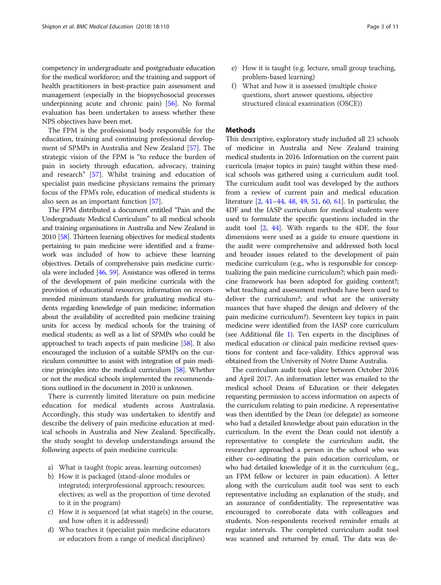competency in undergraduate and postgraduate education for the medical workforce; and the training and support of health practitioners in best-practice pain assessment and management (especially in the biopsychosocial processes underpinning acute and chronic pain) [[56](#page-10-0)]. No formal evaluation has been undertaken to assess whether these NPS objectives have been met.

The FPM is the professional body responsible for the education, training and continuing professional development of SPMPs in Australia and New Zealand [[57\]](#page-10-0). The strategic vision of the FPM is "to reduce the burden of pain in society through education, advocacy, training and research" [\[57\]](#page-10-0). Whilst training and education of specialist pain medicine physicians remains the primary focus of the FPM's role, education of medical students is also seen as an important function [[57](#page-10-0)].

The FPM distributed a document entitled "Pain and the Undergraduate Medical Curriculum" to all medical schools and training organisations in Australia and New Zealand in 2010 [\[58\]](#page-10-0). Thirteen learning objectives for medical students pertaining to pain medicine were identified and a framework was included of how to achieve these learning objectives. Details of comprehensive pain medicine curricula were included [\[46](#page-10-0), [59](#page-10-0)]. Assistance was offered in terms of the development of pain medicine curricula with the provision of educational resources; information on recommended minimum standards for graduating medical students regarding knowledge of pain medicine; information about the availability of accredited pain medicine training units for access by medical schools for the training of medical students; as well as a list of SPMPs who could be approached to teach aspects of pain medicine [[58\]](#page-10-0). It also encouraged the inclusion of a suitable SPMPs on the curriculum committee to assist with integration of pain medicine principles into the medical curriculum [\[58\]](#page-10-0). Whether or not the medical schools implemented the recommendations outlined in the document in 2010 is unknown.

There is currently limited literature on pain medicine education for medical students across Australasia. Accordingly, this study was undertaken to identify and describe the delivery of pain medicine education at medical schools in Australia and New Zealand. Specifically, the study sought to develop understandings around the following aspects of pain medicine curricula:

- a) What is taught (topic areas, learning outcomes)
- b) How it is packaged (stand-alone modules or integrated; interprofessional approach; resources; electives; as well as the proportion of time devoted to it in the program)
- c) How it is sequenced (at what stage(s) in the course, and how often it is addressed)
- d) Who teaches it (specialist pain medicine educators or educators from a range of medical disciplines)
- e) How it is taught (e.g. lecture, small group teaching, problem-based learning)
- f) What and how it is assessed (multiple choice questions, short answer questions, objective structured clinical examination (OSCE))

## Methods

This descriptive, exploratory study included all 23 schools of medicine in Australia and New Zealand training medical students in 2016. Information on the current pain curricula (major topics in pain) taught within these medical schools was gathered using a curriculum audit tool. The curriculum audit tool was developed by the authors from a review of current pain and medical education literature [\[2,](#page-9-0) [41](#page-9-0)–[44,](#page-9-0) [48](#page-10-0), [49,](#page-10-0) [51](#page-10-0), [60,](#page-10-0) [61](#page-10-0)]. In particular, the 4DF and the IASP curriculum for medical students were used to formulate the specific questions included in the audit tool  $[2, 44]$  $[2, 44]$  $[2, 44]$  $[2, 44]$ . With regards to the 4DF, the four dimensions were used as a guide to ensure questions in the audit were comprehensive and addressed both local and broader issues related to the development of pain medicine curriculum (e.g., who is responsible for conceptualizing the pain medicine curriculum?; which pain medicine framework has been adopted for guiding content?; what teaching and assessment methods have been used to deliver the curriculum?; and what are the university nuances that have shaped the design and delivery of the pain medicine curriculum?). Seventeen key topics in pain medicine were identified from the IASP core curriculum (see Additional file [1](#page-8-0)). Ten experts in the disciplines of medical education or clinical pain medicine revised questions for content and face-validity. Ethics approval was obtained from the University of Notre Dame Australia.

The curriculum audit took place between October 2016 and April 2017. An information letter was emailed to the medical school Deans of Education or their delegates requesting permission to access information on aspects of the curriculum relating to pain medicine. A representative was then identified by the Dean (or delegate) as someone who had a detailed knowledge about pain education in the curriculum. In the event the Dean could not identify a representative to complete the curriculum audit, the researcher approached a person in the school who was either co-ordinating the pain education curriculum, or who had detailed knowledge of it in the curriculum (e.g., an FPM fellow or lecturer in pain education). A letter along with the curriculum audit tool was sent to each representative including an explanation of the study, and an assurance of confidentiality. The representative was encouraged to corroborate data with colleagues and students. Non-respondents received reminder emails at regular intervals. The completed curriculum audit tool was scanned and returned by email. The data was de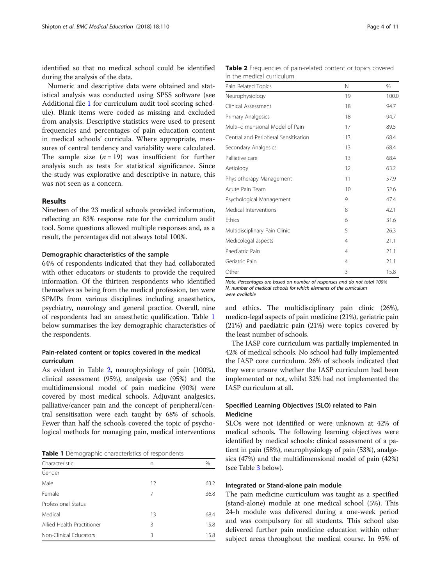identified so that no medical school could be identified during the analysis of the data.

Numeric and descriptive data were obtained and statistical analysis was conducted using SPSS software (see Additional file [1](#page-8-0) for curriculum audit tool scoring schedule). Blank items were coded as missing and excluded from analysis. Descriptive statistics were used to present frequencies and percentages of pain education content in medical schools' curricula. Where appropriate, measures of central tendency and variability were calculated. The sample size  $(n = 19)$  was insufficient for further analysis such as tests for statistical significance. Since the study was explorative and descriptive in nature, this was not seen as a concern.

## Results

Nineteen of the 23 medical schools provided information, reflecting an 83% response rate for the curriculum audit tool. Some questions allowed multiple responses and, as a result, the percentages did not always total 100%.

## Demographic characteristics of the sample

64% of respondents indicated that they had collaborated with other educators or students to provide the required information. Of the thirteen respondents who identified themselves as being from the medical profession, ten were SPMPs from various disciplines including anaesthetics, psychiatry, neurology and general practice. Overall, nine of respondents had an anaesthetic qualification. Table 1 below summarises the key demographic characteristics of the respondents.

## Pain-related content or topics covered in the medical curriculum

As evident in Table 2, neurophysiology of pain (100%), clinical assessment (95%), analgesia use (95%) and the multidimensional model of pain medicine (90%) were covered by most medical schools. Adjuvant analgesics, palliative/cancer pain and the concept of peripheral/central sensitisation were each taught by 68% of schools. Fewer than half the schools covered the topic of psychological methods for managing pain, medical interventions

Table 1 Demographic characteristics of respondents

| Characteristic             | n  | %    |
|----------------------------|----|------|
| Gender                     |    |      |
| Male                       | 12 | 63.2 |
| Female                     | 7  | 36.8 |
| Professional Status        |    |      |
| Medical                    | 13 | 68.4 |
| Allied Health Practitioner | 3  | 15.8 |
| Non-Clinical Educators     | 3  | 15.8 |
|                            |    |      |

|                           |  | Table 2 Frequencies of pain-related content or topics covered |  |  |  |
|---------------------------|--|---------------------------------------------------------------|--|--|--|
| in the medical curriculum |  |                                                               |  |  |  |

| Pain Related Topics                  | N  | $\%$  |
|--------------------------------------|----|-------|
| Neurophysiology                      | 19 | 100.0 |
| Clinical Assessment                  | 18 | 94.7  |
| Primary Analgesics                   | 18 | 94.7  |
| Multi-dimensional Model of Pain      | 17 | 89.5  |
| Central and Peripheral Sensitisation | 13 | 68.4  |
| Secondary Analgesics                 | 13 | 68.4  |
| Palliative care                      | 13 | 68.4  |
| Aetiology                            | 12 | 63.2  |
| Physiotherapy Management             | 11 | 57.9  |
| Acute Pain Team                      | 10 | 52.6  |
| Psychological Management             | 9  | 47.4  |
| Medical Interventions                | 8  | 42.1  |
| Ethics                               | 6  | 31.6  |
| Multidisciplinary Pain Clinic        | 5  | 26.3  |
| Medicolegal aspects                  | 4  | 21.1  |
| Paediatric Pain                      | 4  | 21.1  |
| Geriatric Pain                       | 4  | 21.1  |
| Other                                | 3  | 15.8  |

Note. Percentages are based on number of responses and do not total 100% N, number of medical schools for which elements of the curriculum were available

and ethics. The multidisciplinary pain clinic (26%), medico-legal aspects of pain medicine (21%), geriatric pain (21%) and paediatric pain (21%) were topics covered by the least number of schools.

The IASP core curriculum was partially implemented in 42% of medical schools. No school had fully implemented the IASP core curriculum. 26% of schools indicated that they were unsure whether the IASP curriculum had been implemented or not, whilst 32% had not implemented the IASP curriculum at all.

## Specified Learning Objectives (SLO) related to Pain Medicine

SLOs were not identified or were unknown at 42% of medical schools. The following learning objectives were identified by medical schools: clinical assessment of a patient in pain (58%), neurophysiology of pain (53%), analgesics (47%) and the multidimensional model of pain (42%) (see Table [3](#page-4-0) below).

#### Integrated or Stand-alone pain module

The pain medicine curriculum was taught as a specified (stand-alone) module at one medical school (5%). This 24-h module was delivered during a one-week period and was compulsory for all students. This school also delivered further pain medicine education within other subject areas throughout the medical course. In 95% of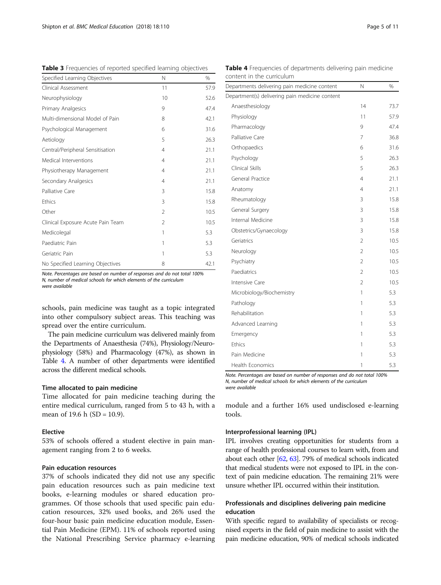<span id="page-4-0"></span>Table 3 Frequencies of reported specified learning objectives

| Specified Learning Objectives     | N              | $\%$ |
|-----------------------------------|----------------|------|
| Clinical Assessment               | 11             | 57.9 |
| Neurophysiology                   | 10             | 52.6 |
| Primary Analgesics                | 9              | 47.4 |
| Multi-dimensional Model of Pain   | 8              | 42.1 |
| Psychological Management          | 6              | 31.6 |
| Aetiology                         | 5              | 26.3 |
| Central/Peripheral Sensitisation  | $\overline{4}$ | 21.1 |
| Medical Interventions             | $\overline{4}$ | 21.1 |
| Physiotherapy Management          | $\overline{4}$ | 21.1 |
| Secondary Analgesics              | $\overline{4}$ | 21.1 |
| Palliative Care                   | 3              | 15.8 |
| Ethics                            | 3              | 15.8 |
| Other                             | 2              | 10.5 |
| Clinical Exposure Acute Pain Team | 2              | 10.5 |
| Medicolegal                       | 1              | 5.3  |
| Paediatric Pain                   | 1              | 5.3  |
| Geriatric Pain                    | 1              | 5.3  |
| No Specified Learning Objectives  | 8              | 42.1 |

Note. Percentages are based on number of responses and do not total 100% N, number of medical schools for which elements of the curriculum were available

schools, pain medicine was taught as a topic integrated into other compulsory subject areas. This teaching was spread over the entire curriculum.

The pain medicine curriculum was delivered mainly from the Departments of Anaesthesia (74%), Physiology/Neurophysiology (58%) and Pharmacology (47%), as shown in Table 4. A number of other departments were identified across the different medical schools.

#### Time allocated to pain medicine

Time allocated for pain medicine teaching during the entire medical curriculum, ranged from 5 to 43 h, with a mean of 19.6 h (SD = 10.9).

## Elective

53% of schools offered a student elective in pain management ranging from 2 to 6 weeks.

## Pain education resources

37% of schools indicated they did not use any specific pain education resources such as pain medicine text books, e-learning modules or shared education programmes. Of those schools that used specific pain education resources, 32% used books, and 26% used the four-hour basic pain medicine education module, Essential Pain Medicine (EPM). 11% of schools reported using the National Prescribing Service pharmacy e-learning

| Departments delivering pain medicine content   | N              | %    |
|------------------------------------------------|----------------|------|
| Department(s) delivering pain medicine content |                |      |
| Anaesthesiology                                | 14             | 73.7 |
| Physiology                                     | 11             | 57.9 |
| Pharmacology                                   | 9              | 47.4 |
| Palliative Care                                | 7              | 36.8 |
| Orthopaedics                                   | 6              | 31.6 |
| Psychology                                     | 5              | 26.3 |
| Clinical Skills                                | 5              | 26.3 |
| General Practice                               | 4              | 21.1 |
| Anatomy                                        | 4              | 21.1 |
| Rheumatology                                   | 3              | 15.8 |
| General Surgery                                | 3              | 15.8 |
| Internal Medicine                              | 3              | 15.8 |
| Obstetrics/Gynaecology                         | 3              | 15.8 |
| Geriatrics                                     | $\mathfrak{D}$ | 10.5 |
| Neurology                                      | $\overline{2}$ | 10.5 |
| Psychiatry                                     | $\overline{2}$ | 10.5 |
| Paediatrics                                    | $\overline{2}$ | 10.5 |
| Intensive Care                                 | $\overline{2}$ | 10.5 |
| Microbiology/Biochemistry                      | 1              | 5.3  |
| Pathology                                      | 1              | 5.3  |
| Rehabilitation                                 | 1              | 5.3  |
| Advanced Learning                              | 1              | 5.3  |
| Emergency                                      | 1              | 5.3  |
| Ethics                                         | 1              | 5.3  |
| Pain Medicine                                  | 1              | 5.3  |
| Health Economics                               | 1              | 5.3  |

Note. Percentages are based on number of responses and do not total 100% N, number of medical schools for which elements of the curriculum were available

module and a further 16% used undisclosed e-learning tools.

#### Interprofessional learning (IPL)

IPL involves creating opportunities for students from a range of health professional courses to learn with, from and about each other [\[62](#page-10-0), [63\]](#page-10-0). 79% of medical schools indicated that medical students were not exposed to IPL in the context of pain medicine education. The remaining 21% were unsure whether IPL occurred within their institution.

## Professionals and disciplines delivering pain medicine education

With specific regard to availability of specialists or recognised experts in the field of pain medicine to assist with the pain medicine education, 90% of medical schools indicated

| Table 4 Frequencies of departments delivering pain medicine |  |  |
|-------------------------------------------------------------|--|--|
| content in the curriculum                                   |  |  |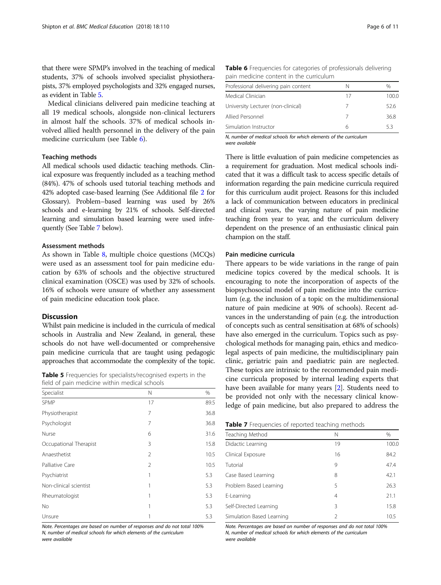that there were SPMP's involved in the teaching of medical students, 37% of schools involved specialist physiotherapists, 37% employed psychologists and 32% engaged nurses, as evident in Table 5.

Medical clinicians delivered pain medicine teaching at all 19 medical schools, alongside non-clinical lecturers in almost half the schools. 37% of medical schools involved allied health personnel in the delivery of the pain medicine curriculum (see Table 6).

#### Teaching methods

All medical schools used didactic teaching methods. Clinical exposure was frequently included as a teaching method (84%). 47% of schools used tutorial teaching methods and 42% adopted case-based learning (See Additional file [2](#page-8-0) for Glossary). Problem–based learning was used by 26% schools and e-learning by 21% of schools. Self-directed learning and simulation based learning were used infrequently (See Table 7 below).

## Assessment methods

As shown in Table [8](#page-6-0), multiple choice questions (MCQs) were used as an assessment tool for pain medicine education by 63% of schools and the objective structured clinical examination (OSCE) was used by 32% of schools. 16% of schools were unsure of whether any assessment of pain medicine education took place.

## Discussion

Whilst pain medicine is included in the curricula of medical schools in Australia and New Zealand, in general, these schools do not have well-documented or comprehensive pain medicine curricula that are taught using pedagogic approaches that accommodate the complexity of the topic.

Table 5 Frequencies for specialists/recognised experts in the field of pain medicine within medical schools

| Specialist             | N              | %    |
|------------------------|----------------|------|
| SPMP                   | 17             | 89.5 |
| Physiotherapist        | 7              | 36.8 |
| Psychologist           | 7              | 36.8 |
| Nurse                  | 6              | 31.6 |
| Occupational Therapist | 3              | 15.8 |
| Anaesthetist           | $\overline{2}$ | 10.5 |
| Palliative Care        | $\overline{2}$ | 10.5 |
| Psychiatrist           | 1              | 5.3  |
| Non-clinical scientist | 1              | 5.3  |
| Rheumatologist         | 1              | 5.3  |
| No                     | 1              | 5.3  |
| Unsure                 | 1              | 5.3  |

Note. Percentages are based on number of responses and do not total 100% N, number of medical schools for which elements of the curriculum were available

Table 6 Frequencies for categories of professionals delivering pain medicine content in the curriculum

| Professional delivering pain content | N | %     |
|--------------------------------------|---|-------|
| Medical Clinician                    |   | 100.0 |
| University Lecturer (non-clinical)   |   | 52.6  |
| Allied Personnel                     |   | 36.8  |
| Simulation Instructor                | h | 53    |

N, number of medical schools for which elements of the curriculum were available

There is little evaluation of pain medicine competencies as a requirement for graduation. Most medical schools indicated that it was a difficult task to access specific details of information regarding the pain medicine curricula required for this curriculum audit project. Reasons for this included a lack of communication between educators in preclinical and clinical years, the varying nature of pain medicine teaching from year to year, and the curriculum delivery dependent on the presence of an enthusiastic clinical pain champion on the staff.

## Pain medicine curricula

There appears to be wide variations in the range of pain medicine topics covered by the medical schools. It is encouraging to note the incorporation of aspects of the biopsychosocial model of pain medicine into the curriculum (e.g. the inclusion of a topic on the multidimensional nature of pain medicine at 90% of schools). Recent advances in the understanding of pain (e.g. the introduction of concepts such as central sensitisation at 68% of schools) have also emerged in the curriculum. Topics such as psychological methods for managing pain, ethics and medicolegal aspects of pain medicine, the multidisciplinary pain clinic, geriatric pain and paediatric pain are neglected. These topics are intrinsic to the recommended pain medicine curricula proposed by internal leading experts that have been available for many years [\[2](#page-9-0)]. Students need to be provided not only with the necessary clinical knowledge of pain medicine, but also prepared to address the

|  | Table 7 Frequencies of reported teaching methods |  |  |  |
|--|--------------------------------------------------|--|--|--|
|--|--------------------------------------------------|--|--|--|

| Teaching Method           | Ν  | $\%$  |
|---------------------------|----|-------|
| Didactic Learning         | 19 | 100.0 |
| Clinical Exposure         | 16 | 84.2  |
| Tutorial                  | 9  | 47.4  |
| Case Based Learning       | 8  | 42.1  |
| Problem Based Learning    | 5  | 26.3  |
| E-Learning                | 4  | 21.1  |
| Self-Directed Learning    | 3  | 15.8  |
| Simulation Based Learning | 2  | 10.5  |

Note. Percentages are based on number of responses and do not total 100% N, number of medical schools for which elements of the curriculum were available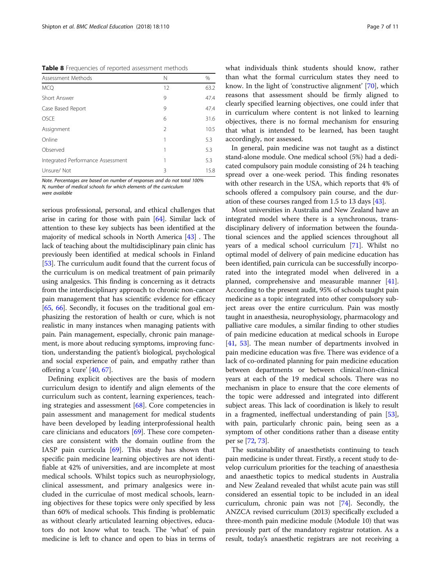<span id="page-6-0"></span>Table 8 Frequencies of reported assessment methods

| Assessment Methods                | N             | $\%$ |
|-----------------------------------|---------------|------|
| <b>MCQ</b>                        | 12            | 63.2 |
| Short Answer                      | 9             | 47.4 |
| Case Based Report                 | 9             | 47.4 |
| <b>OSCE</b>                       | 6             | 31.6 |
| Assignment                        | $\mathcal{P}$ | 10.5 |
| Online                            | 1             | 5.3  |
| Observed                          | 1             | 5.3  |
| Integrated Performance Assessment | 1             | 5.3  |
| Unsure/Not                        | 3             | 15.8 |

Note. Percentages are based on number of responses and do not total 100% N, number of medical schools for which elements of the curriculum were available

serious professional, personal, and ethical challenges that arise in caring for those with pain [\[64\]](#page-10-0). Similar lack of attention to these key subjects has been identified at the majority of medical schools in North America [[43](#page-9-0)] . The lack of teaching about the multidisciplinary pain clinic has previously been identified at medical schools in Finland [[53](#page-10-0)]. The curriculum audit found that the current focus of the curriculum is on medical treatment of pain primarily using analgesics. This finding is concerning as it detracts from the interdisciplinary approach to chronic non-cancer pain management that has scientific evidence for efficacy [[65](#page-10-0), [66](#page-10-0)]. Secondly, it focuses on the traditional goal emphasizing the restoration of health or cure, which is not realistic in many instances when managing patients with pain. Pain management, especially, chronic pain management, is more about reducing symptoms, improving function, understanding the patient's biological, psychological and social experience of pain, and empathy rather than offering a 'cure' [\[40,](#page-9-0) [67](#page-10-0)].

Defining explicit objectives are the basis of modern curriculum design to identify and align elements of the curriculum such as content, learning experiences, teaching strategies and assessment [[68\]](#page-10-0). Core competencies in pain assessment and management for medical students have been developed by leading interprofessional health care clinicians and educators [[69\]](#page-10-0). These core competencies are consistent with the domain outline from the IASP pain curricula [\[69](#page-10-0)]. This study has shown that specific pain medicine learning objectives are not identifiable at 42% of universities, and are incomplete at most medical schools. Whilst topics such as neurophysiology, clinical assessment, and primary analgesics were included in the curriculae of most medical schools, learning objectives for these topics were only specified by less than 60% of medical schools. This finding is problematic as without clearly articulated learning objectives, educators do not know what to teach. The 'what' of pain medicine is left to chance and open to bias in terms of what individuals think students should know, rather than what the formal curriculum states they need to know. In the light of 'constructive alignment' [[70\]](#page-10-0), which reasons that assessment should be firmly aligned to clearly specified learning objectives, one could infer that in curriculum where content is not linked to learning objectives, there is no formal mechanism for ensuring that what is intended to be learned, has been taught accordingly, nor assessed.

In general, pain medicine was not taught as a distinct stand-alone module. One medical school (5%) had a dedicated compulsory pain module consisting of 24 h teaching spread over a one-week period. This finding resonates with other research in the USA, which reports that 4% of schools offered a compulsory pain course, and the duration of these courses ranged from 1.5 to 13 days [\[43](#page-9-0)].

Most universities in Australia and New Zealand have an integrated model where there is a synchronous, transdisciplinary delivery of information between the foundational sciences and the applied sciences throughout all years of a medical school curriculum [\[71\]](#page-10-0). Whilst no optimal model of delivery of pain medicine education has been identified, pain curricula can be successfully incorporated into the integrated model when delivered in a planned, comprehensive and measurable manner [[41](#page-9-0)]. According to the present audit, 95% of schools taught pain medicine as a topic integrated into other compulsory subject areas over the entire curriculum. Pain was mostly taught in anaesthesia, neurophysiology, pharmacology and palliative care modules, a similar finding to other studies of pain medicine education at medical schools in Europe [[41](#page-9-0), [53\]](#page-10-0). The mean number of departments involved in pain medicine education was five. There was evidence of a lack of co-ordinated planning for pain medicine education between departments or between clinical/non-clinical years at each of the 19 medical schools. There was no mechanism in place to ensure that the core elements of the topic were addressed and integrated into different subject areas. This lack of coordination is likely to result in a fragmented, ineffectual understanding of pain [[53](#page-10-0)], with pain, particularly chronic pain, being seen as a symptom of other conditions rather than a disease entity per se [\[72,](#page-10-0) [73](#page-10-0)].

The sustainability of anaesthetists continuing to teach pain medicine is under threat. Firstly, a recent study to develop curriculum priorities for the teaching of anaesthesia and anaesthetic topics to medical students in Australia and New Zealand revealed that whilst acute pain was still considered an essential topic to be included in an ideal curriculum, chronic pain was not [[74](#page-10-0)]. Secondly, the ANZCA revised curriculum (2013) specifically excluded a three-month pain medicine module (Module 10) that was previously part of the mandatory registrar rotation. As a result, today's anaesthetic registrars are not receiving a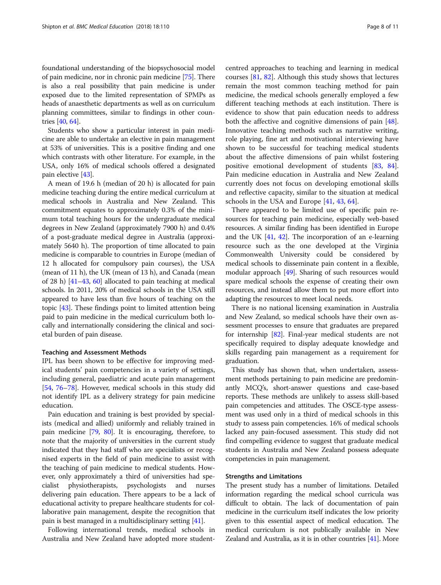foundational understanding of the biopsychosocial model of pain medicine, nor in chronic pain medicine [\[75\]](#page-10-0). There is also a real possibility that pain medicine is under exposed due to the limited representation of SPMPs as heads of anaesthetic departments as well as on curriculum planning committees, similar to findings in other countries [[40](#page-9-0), [64\]](#page-10-0).

Students who show a particular interest in pain medicine are able to undertake an elective in pain management at 53% of universities. This is a positive finding and one which contrasts with other literature. For example, in the USA, only 16% of medical schools offered a designated pain elective [\[43\]](#page-9-0).

A mean of 19.6 h (median of 20 h) is allocated for pain medicine teaching during the entire medical curriculum at medical schools in Australia and New Zealand. This commitment equates to approximately 0.3% of the minimum total teaching hours for the undergraduate medical degrees in New Zealand (approximately 7900 h) and 0.4% of a post-graduate medical degree in Australia (approximately 5640 h). The proportion of time allocated to pain medicine is comparable to countries in Europe (median of 12 h allocated for compulsory pain courses), the USA (mean of 11 h), the UK (mean of 13 h), and Canada (mean of 28 h) [\[41](#page-9-0)–[43](#page-9-0), [60](#page-10-0)] allocated to pain teaching at medical schools. In 2011, 20% of medical schools in the USA still appeared to have less than five hours of teaching on the topic [\[43\]](#page-9-0). These findings point to limited attention being paid to pain medicine in the medical curriculum both locally and internationally considering the clinical and societal burden of pain disease.

#### Teaching and Assessment Methods

IPL has been shown to be effective for improving medical students' pain competencies in a variety of settings, including general, paediatric and acute pain management [[54,](#page-10-0) [76](#page-10-0)–[78](#page-10-0)]. However, medical schools in this study did not identify IPL as a delivery strategy for pain medicine education.

Pain education and training is best provided by specialists (medical and allied) uniformly and reliably trained in pain medicine [\[79](#page-10-0), [80\]](#page-10-0). It is encouraging, therefore, to note that the majority of universities in the current study indicated that they had staff who are specialists or recognised experts in the field of pain medicine to assist with the teaching of pain medicine to medical students. However, only approximately a third of universities had specialist physiotherapists, psychologists and nurses delivering pain education. There appears to be a lack of educational activity to prepare healthcare students for collaborative pain management, despite the recognition that pain is best managed in a multidisciplinary setting [\[41\]](#page-9-0).

Following international trends, medical schools in Australia and New Zealand have adopted more studentcentred approaches to teaching and learning in medical courses [[81](#page-10-0), [82](#page-10-0)]. Although this study shows that lectures remain the most common teaching method for pain medicine, the medical schools generally employed a few different teaching methods at each institution. There is evidence to show that pain education needs to address both the affective and cognitive dimensions of pain [\[48](#page-10-0)]. Innovative teaching methods such as narrative writing, role playing, fine art and motivational interviewing have shown to be successful for teaching medical students about the affective dimensions of pain whilst fostering positive emotional development of students [\[83](#page-10-0), [84](#page-10-0)]. Pain medicine education in Australia and New Zealand currently does not focus on developing emotional skills and reflective capacity, similar to the situation at medical schools in the USA and Europe [[41,](#page-9-0) [43,](#page-9-0) [64\]](#page-10-0).

There appeared to be limited use of specific pain resources for teaching pain medicine, especially web-based resources. A similar finding has been identified in Europe and the UK  $[41, 42]$  $[41, 42]$  $[41, 42]$ . The incorporation of an e-learning resource such as the one developed at the Virginia Commonwealth University could be considered by medical schools to disseminate pain content in a flexible, modular approach [\[49\]](#page-10-0). Sharing of such resources would spare medical schools the expense of creating their own resources, and instead allow them to put more effort into adapting the resources to meet local needs.

There is no national licensing examination in Australia and New Zealand, so medical schools have their own assessment processes to ensure that graduates are prepared for internship [[82](#page-10-0)]. Final-year medical students are not specifically required to display adequate knowledge and skills regarding pain management as a requirement for graduation.

This study has shown that, when undertaken, assessment methods pertaining to pain medicine are predominantly MCQ's, short-answer questions and case-based reports. These methods are unlikely to assess skill-based pain competencies and attitudes. The OSCE-type assessment was used only in a third of medical schools in this study to assess pain competencies. 16% of medical schools lacked any pain-focused assessment. This study did not find compelling evidence to suggest that graduate medical students in Australia and New Zealand possess adequate competencies in pain management.

## Strengths and Limitations

The present study has a number of limitations. Detailed information regarding the medical school curricula was difficult to obtain. The lack of documentation of pain medicine in the curriculum itself indicates the low priority given to this essential aspect of medical education. The medical curriculum is not publically available in New Zealand and Australia, as it is in other countries [[41](#page-9-0)]. More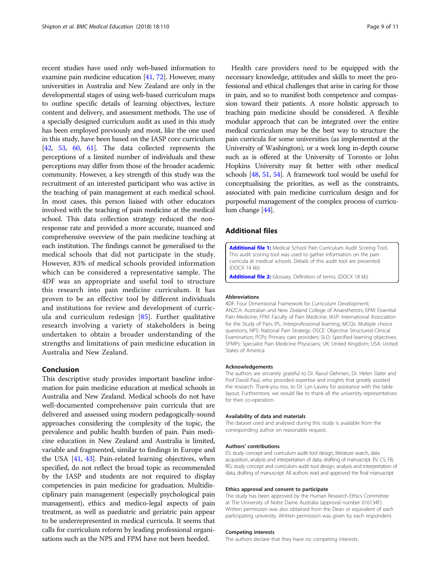<span id="page-8-0"></span>recent studies have used only web-based information to examine pain medicine education [[41](#page-9-0), [72\]](#page-10-0). However, many universities in Australia and New Zealand are only in the developmental stages of using web-based curriculum maps to outline specific details of learning objectives, lecture content and delivery, and assessment methods. The use of a specially designed curriculum audit as used in this study has been employed previously and most, like the one used in this study, have been based on the IASP core curriculum [[42](#page-9-0), [53](#page-10-0), [60,](#page-10-0) [61\]](#page-10-0). The data collected represents the perceptions of a limited number of individuals and these perceptions may differ from those of the broader academic community. However, a key strength of this study was the recruitment of an interested participant who was active in the teaching of pain management at each medical school. In most cases, this person liaised with other educators involved with the teaching of pain medicine at the medical school. This data collection strategy reduced the nonresponse rate and provided a more accurate, nuanced and comprehensive overview of the pain medicine teaching at each institution. The findings cannot be generalised to the medical schools that did not participate in the study. However, 83% of medical schools provided information which can be considered a representative sample. The 4DF was an appropriate and useful tool to structure this research into pain medicine curriculum. It has proven to be an effective tool by different individuals and institutions for review and development of curricula and curriculum redesign [[85](#page-10-0)]. Further qualitative research involving a variety of stakeholders is being undertaken to obtain a broader understanding of the strengths and limitations of pain medicine education in Australia and New Zealand.

## Conclusion

This descriptive study provides important baseline information for pain medicine education at medical schools in Australia and New Zealand. Medical schools do not have well-documented comprehensive pain curricula that are delivered and assessed using modern pedagogically-sound approaches considering the complexity of the topic, the prevalence and public health burden of pain. Pain medicine education in New Zealand and Australia is limited, variable and fragmented, similar to findings in Europe and the USA [[41](#page-9-0), [43](#page-9-0)]. Pain-related learning objectives, when specified, do not reflect the broad topic as recommended by the IASP and students are not required to display competencies in pain medicine for graduation. Multidisciplinary pain management (especially psychological pain management), ethics and medico-legal aspects of pain treatment, as well as paediatric and geriatric pain appear to be underrepresented in medical curricula. It seems that calls for curriculum reform by leading professional organisations such as the NPS and FPM have not been heeded.

Health care providers need to be equipped with the necessary knowledge, attitudes and skills to meet the professional and ethical challenges that arise in caring for those in pain, and so to manifest both competence and compassion toward their patients. A more holistic approach to teaching pain medicine should be considered. A flexible modular approach that can be integrated over the entire medical curriculum may be the best way to structure the pain curricula for some universities (as implemented at the University of Washington), or a week long in-depth course such as is offered at the University of Toronto or John Hopkins University may fit better with other medical schools [[48](#page-10-0), [51,](#page-10-0) [54\]](#page-10-0). A framework tool would be useful for conceptualising the priorities, as well as the constraints, associated with pain medicine curriculum design and for purposeful management of the complex process of curriculum change [\[44](#page-9-0)].

## Additional files

[Additional file 1:](https://doi.org/10.1186/s12909-018-1204-4) Medical School Pain Curriculum Audit Scoring Tool. This audit scoring tool was used to gather information on the pain curricula at medical schools. Details of this audit tool are presented. (DOCX 14 kb)

[Additional file 2:](https://doi.org/10.1186/s12909-018-1204-4) Glossary, Definition of terms. (DOCX 18 kb)

#### **Abbreviations**

4DF: Four Dimensional Framework for Curriculum Development; ANZCA: Australian and New Zealand College of Anaesthetists; EPM: Essential Pain Medicine; FPM: Faculty of Pain Medicine; IASP: International Association for the Study of Pain; IPL: Interprofessional learning; MCQs: Multiple choice questions; NPS: National Pain Strategy; OSCE: Objective Structured Clinical Examination; PCPs: Primary care providers; SLO: Specified learning objectives; SPMPs: Specialist Pain Medicine Physicians; UK: United Kingdom; USA: United States of America

#### Acknowledgements

The authors are sincerely grateful to Dr. Raoul Oehmen, Dr. Helen Slater and Prof David Paul, who provided expertise and insights that greatly assisted the research. Thank-you too, to Dr. Lyn Lavery for assistance with the table layout. Furthermore, we would like to thank all the university representatives for their co-operation.

#### Availability of data and materials

The dataset used and analysed during this study is available from the corresponding author on reasonable request.

#### Authors' contributions

ES: study concept and curriculum audit tool design, literature search, data acquisition, analysis and interpretation of data, drafting of manuscript. EV, CS, FB, RG: study concept and curriculum audit tool design, analysis and interpretation of data, drafting of manuscript. All authors read and approved the final manuscript.

#### Ethics approval and consent to participate

The study has been approved by the Human Research Ethics Committee at The University of Notre Dame Australia (approval number 016134F). Written permission was also obtained from the Dean or equivalent of each participating university. Written permission was given by each respondent.

#### Competing interests

The authors declare that they have no competing interests.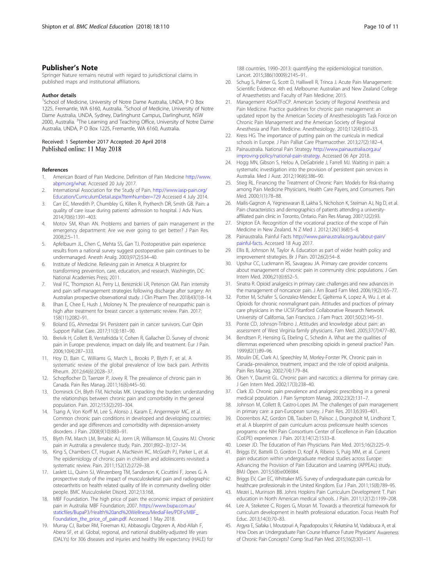## <span id="page-9-0"></span>Publisher's Note

Springer Nature remains neutral with regard to jurisdictional claims in published maps and institutional affiliations.

#### Author details

<sup>1</sup>School of Medicine, University of Notre Dame Australia, UNDA, P O Box 1225, Fremantle, WA 6160, Australia. <sup>2</sup>School of Medicine, University of Notre Dame Australia, UNDA, Sydney, Darlinghurst Campus, Darlinghurst, NSW 2000, Australia. <sup>3</sup>The Learning and Teaching Office, University of Notre Dame Australia, UNDA, P O Box 1225, Fremantle, WA 6160, Australia.

#### Received: 1 September 2017 Accepted: 20 April 2018 Published online: 11 May 2018

#### References

- 1. American Board of Pain Medicine. Definition of Pain Medicine [http://www.](http://www.abpm.org/what) [abpm.org/what.](http://www.abpm.org/what) Accessed 20 July 2017.
- International Association for the Study of Pain. [http://www.iasp-pain.org/](http://www.iasp-pain.org/Education/CurriculumDetail.aspx?ItemNumber=729) [Education/CurriculumDetail.aspx?ItemNumber=729](http://www.iasp-pain.org/Education/CurriculumDetail.aspx?ItemNumber=729) Accessed 4 July 2014.
- 3. Carr EC, Meredith P, Chumbley G, Killen R, Prytherch DR, Smith GB. Pain: a quality of care issue during patients' admission to hospital. J Adv Nurs. 2014;70(6):1391–403.
- 4. Motov SM, Khan AN. Problems and barriers of pain management in the emergency department: Are we ever going to get better? J Pain Res. 2008;2:5–11.
- 5. Apfelbaum JL, Chen C, Mehta SS, Gan TJ. Postoperative pain experience: results from a national survey suggest postoperative pain continues to be undermanaged. Anesth Analg. 2003;97(2):534–40.
- 6. Institute of Medicine. Relieving pain in America: A blueprint for transforming prevention, care, education, and research. Washingtin, DC: National Academies Press; 2011.
- 7. Veal FC, Thompson AJ, Perry LJ, Bereznicki LR, Peterson GM. Pain intensity and pain self-management strategies following discharge after surgery: An Australian prospective observational study. J Clin Pharm Ther. 2018;43(1):8–14.
- Ilhan E, Chee E, Hush J, Moloney N. The prevalence of neuropathic pain is high after treatment for breast cancer: a systematic review. Pain. 2017; 158(11):2082–91.
- 9. Boland EG, Ahmedzai SH. Persistent pain in cancer survivors. Curr Opin Support Palliat Care. 2017;11(3):181–90.
- 10. Breivik H, Collett B, Ventafridda V, Cohen R, Gallacher D. Survey of chronic pain in Europe: prevalence, impact on daily life, and treatment. Eur J Pain. 2006;10(4):287–333.
- 11. Hoy D, Bain C, Williams G, March L, Brooks P, Blyth F, et al. A systematic review of the global prevalence of low back pain. Arthritis Rheum. 2012;64(6):2028–37.
- 12. Schopflocher D, Taenzer P, Jovey R. The prevalence of chronic pain in Canada. Pain Res Manag. 2011;16(6):445–50.
- 13. Dominick CH, Blyth FM, Nicholas MK. Unpacking the burden: understanding the relationships between chronic pain and comorbidity in the general population. Pain. 2012;153(2):293–304.
- 14. Tsang A, Von Korff M, Lee S, Alonso J, Karam E, Angermeyer MC, et al. Common chronic pain conditions in developed and developing countries: gender and age differences and comorbidity with depression-anxiety disorders. J Pain. 2008;9(10):883–91.
- 15. Blyth FM, March LM, Brnabic AJ, Jorm LR, Williamson M, Cousins MJ. Chronic pain in Australia: a prevalence study. Pain. 2001;89(2–3):127–34.
- 16. King S, Chambers CT, Huguet A, MacNevin RC, McGrath PJ, Parker L, et al. The epidemiology of chronic pain in children and adolescents revisited: a systematic review. Pain. 2011;152(12):2729–38.
- 17. Laslett LL, Quinn SJ, Winzenberg TM, Sanderson K, Cicuttini F, Jones G. A prospective study of the impact of musculoskeletal pain and radiographic osteoarthritis on health related quality of life in community dwelling older people. BMC Musculoskelet Disord. 2012;13:168.
- 18. MBF Foundation. The high price of pain: the economic impact of persistent pain in Australia: MBF Foundation; 2007. [https://www.bupa.com.au/](https://www.bupa.com.au/staticfiles/BupaP3/Health%20and%20Wellness/MediaFiles/PDFs/MBF_Foundation_the_price_of_pain.pdf) [staticfiles/BupaP3/Health%20and%20Wellness/MediaFiles/PDFs/MBF\\_](https://www.bupa.com.au/staticfiles/BupaP3/Health%20and%20Wellness/MediaFiles/PDFs/MBF_Foundation_the_price_of_pain.pdf) Foundation the price of pain.pdf. Accessed 1 May 2018.
- 19. Murray CJ, Barber RM, Foreman KJ, Abbasoglu Ozgoren A, Abd-Allah F, Abera SF, et al. Global, regional, and national disability-adjusted life years (DALYs) for 306 diseases and injuries and healthy life expectancy (HALE) for
- 20. Schug S, Palmer G, Scott D, Halliwell R, Trinca J. Acute Pain Management: Scientific Evidence. 4th ed. Melbourne: Australian and New Zealand College of Anaesthetists and Faculty of Pain Medicine; 2015.
- 21. Management ASoATFoCP. American Society of Regional Anesthesia and Pain Medicine. Practice guidelines for chronic pain management: an updated report by the American Society of Anesthesiologists Task Force on Chronic Pain Management and the American Society of Regional Anesthesia and Pain Medicine. Anesthesiology. 2010;112(4):810–33.
- 22. Kress HG. The importance of putting pain on the curricula in medical schools in Europe. J Pain Palliat Care Pharmacother. 2013;27(2):182–4.
- 23. Painaustralia. National Pain Strategy [http://www.painaustralia.org.au/](http://www.painaustralia.org.au/improving-policy/national-pain-strategy) [improving-policy/national-pain-strategy](http://www.painaustralia.org.au/improving-policy/national-pain-strategy). Accessed 06 Apr 2018.
- 24. Hogg MN, Gibson S, Helou A, DeGabriele J, Farrell MJ. Waiting in pain: a systematic investigation into the provision of persistent pain services in Australia. Med J Aust. 2012;196(6):386–90.
- 25. Stieg RL. Financing the Treatment of Chronic Pain: Models for Risk-sharing among Pain Medicine Physicians, Health Care Payers, and Consumers. Pain Med. 2000;1(1):78–88.
- 26. Mailis-Gagnon A, Yegneswaran B, Lakha S, Nicholson K, Steiman AJ, Ng D, et al. Pain characteristics and demographics of patients attending a universityaffiliated pain clinic in Toronto, Ontario. Pain Res Manag. 2007;12(2):93.
- 27. Shipton EA. Recognition of the vocational practice of the scope of Pain Medicine in New Zealand. N Z Med J. 2012;126(1368):5–8.
- 28. Painaustralia. Painful Facts [http://www.painaustralia.org.au/about-pain/](http://www.painaustralia.org.au/about-pain/painful-facts) [painful-facts](http://www.painaustralia.org.au/about-pain/painful-facts). Accessed 18 Aug 2017.
- 29. Ellis B, Johnson M, Taylor A. Education as part of wider health policy and improvement strategies. Br J Pain. 2012;6(2):54–8.
- 30. Upshur CC, Luckmann RS, Savageau JA. Primary care provider concerns about management of chronic pain in community clinic populations. J Gen Intern Med. 2006;21(6):652–5.
- 31. Sinatra R. Opioid analgesics in primary care: challenges and new advances in the management of noncancer pain. J Am Board Fam Med. 2006;19(2):165–77.
- 32. Potter M, Schafer S, Gonzalez-Mendez E, Gjeltema K, Lopez A, Wu J, et al. Opioids for chronic nonmalignant pain. Attitudes and practices of primary care physicians in the UCSF/Stanford Collaborative Research Network. University of California, San Francisco. J Fam Pract. 2001;50(2):145–51.
- 33. Ponte CD, Johnson-Tribino J. Attitudes and knowledge about pain: an assessment of West Virginia family physicians. Fam Med. 2005;37(7):477–80.
- 34. Bendtsen P, Hensing G, Ebeling C, Schedin A. What are the qualities of dilemmas experienced when prescribing opioids in general practice? Pain. 1999;82(1):89–96.
- 35. Moulin DE, Clark AJ, Speechley M, Morley-Forster PK. Chronic pain in Canada–prevalence, treatment, impact and the role of opioid analgesia. Pain Res Manag. 2002;7(4):179–84.
- 36. Olsen Y, Daumit GL. Chronic pain and narcotics: a dilemma for primary care. J Gen Intern Med. 2002;17(3):238–40.
- 37. Clark JD. Chronic pain prevalence and analgesic prescribing in a general medical population. J Pain Symptom Manag. 2002;23(2):131–7.
- 38. Johnson M, Collett B, Castro-Lopes JM. The challenges of pain management in primary care: a pan-European survey. J Pain Res. 2013;6:393–401.
- 39. Doorenbos AZ, Gordon DB, Tauben D, Palisoc J, Drangsholt M, Lindhorst T, et al. A blueprint of pain curriculum across prelicensure health sciences programs: one NIH Pain Consortium Center of Excellence in Pain Education (CoEPE) experience. J Pain. 2013;14(12):1533–8.
- 40. Loeser JD. The Education of Pain Physicians. Pain Med. 2015;16(2):225–9.
- 41. Briggs EV, Battelli D, Gordon D, Kopf A, Ribeiro S, Puig MM, et al. Current pain education within undergraduate medical studies across Europe: Advancing the Provision of Pain Education and Learning (APPEAL) study. BMJ Open. 2015;5(8):e006984.
- 42. Briggs EV, Carr EC, Whittaker MS. Survey of undergraduate pain curricula for healthcare professionals in the United Kingdom. Eur J Pain. 2011;15(8):789–95.
- 43. Mezei L, Murinson BB. Johns Hopkins Pain Curriculum Development T. Pain education in North American medical schools. J Pain. 2011;12(12):1199–208.
- 44. Lee A, Steketee C, Rogers G, Moran M. Towards a theoretical framework for curriculum development in health professional education. Focus Health Prof Educ. 2013;14(3):70–83.
- 45. Argyra E, Siafaka I, Moutzouri A, Papadopoulos V, Rekatsina M, Vadalouca A, et al. How Does an Undergraduate Pain Course Influence Future Physicians' Awareness of Chronic Pain Concepts? Comp Stud Pain Med. 2015;16(2):301–11.